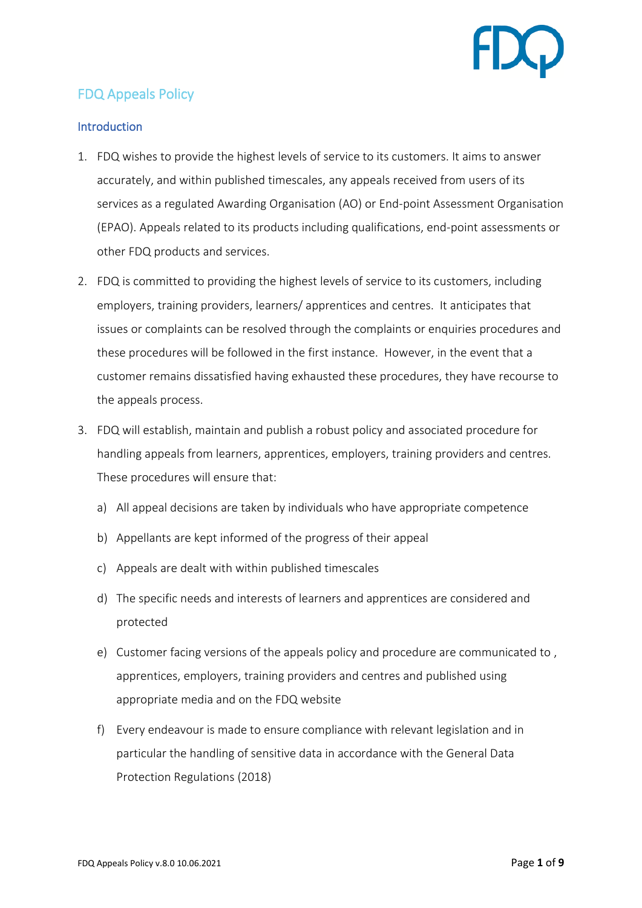

# FDQ Appeals Policy

# **Introduction**

- 1. FDQ wishes to provide the highest levels of service to its customers. It aims to answer accurately, and within published timescales, any appeals received from users of its services as a regulated Awarding Organisation (AO) or End-point Assessment Organisation (EPAO). Appeals related to its products including qualifications, end-point assessments or other FDQ products and services.
- 2. FDQ is committed to providing the highest levels of service to its customers, including employers, training providers, learners/ apprentices and centres. It anticipates that issues or complaints can be resolved through the complaints or enquiries procedures and these procedures will be followed in the first instance. However, in the event that a customer remains dissatisfied having exhausted these procedures, they have recourse to the appeals process.
- 3. FDQ will establish, maintain and publish a robust policy and associated procedure for handling appeals from learners, apprentices, employers, training providers and centres. These procedures will ensure that:
	- a) All appeal decisions are taken by individuals who have appropriate competence
	- b) Appellants are kept informed of the progress of their appeal
	- c) Appeals are dealt with within published timescales
	- d) The specific needs and interests of learners and apprentices are considered and protected
	- e) Customer facing versions of the appeals policy and procedure are communicated to , apprentices, employers, training providers and centres and published using appropriate media and on the FDQ website
	- f) Every endeavour is made to ensure compliance with relevant legislation and in particular the handling of sensitive data in accordance with the General Data Protection Regulations (2018)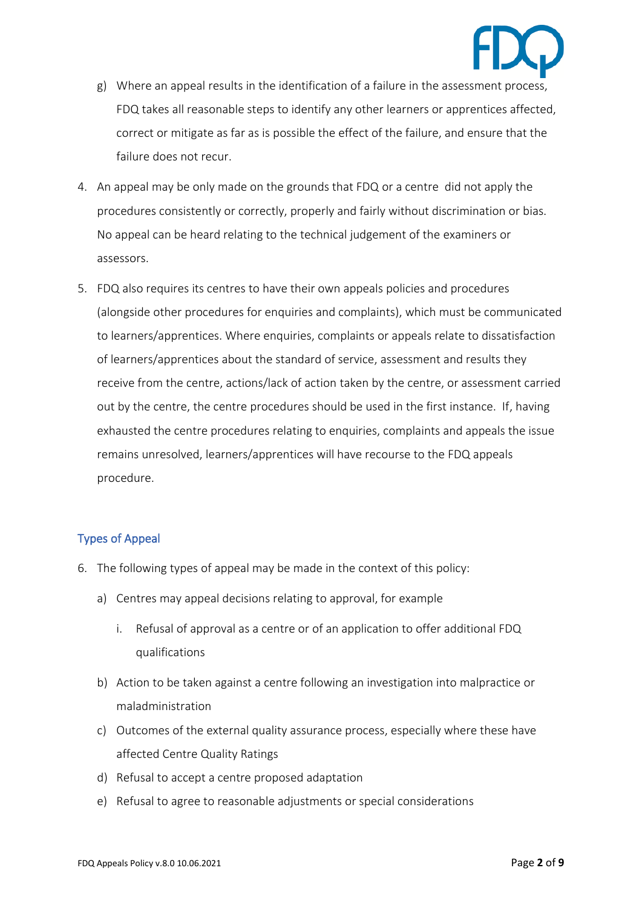

- g) Where an appeal results in the identification of a failure in the assessment process, FDQ takes all reasonable steps to identify any other learners or apprentices affected, correct or mitigate as far as is possible the effect of the failure, and ensure that the failure does not recur.
- 4. An appeal may be only made on the grounds that FDQ or a centre did not apply the procedures consistently or correctly, properly and fairly without discrimination or bias. No appeal can be heard relating to the technical judgement of the examiners or assessors.
- 5. FDQ also requires its centres to have their own appeals policies and procedures (alongside other procedures for enquiries and complaints), which must be communicated to learners/apprentices. Where enquiries, complaints or appeals relate to dissatisfaction of learners/apprentices about the standard of service, assessment and results they receive from the centre, actions/lack of action taken by the centre, or assessment carried out by the centre, the centre procedures should be used in the first instance. If, having exhausted the centre procedures relating to enquiries, complaints and appeals the issue remains unresolved, learners/apprentices will have recourse to the FDQ appeals procedure.

### Types of Appeal

- 6. The following types of appeal may be made in the context of this policy:
	- a) Centres may appeal decisions relating to approval, for example
		- i. Refusal of approval as a centre or of an application to offer additional FDQ qualifications
	- b) Action to be taken against a centre following an investigation into malpractice or maladministration
	- c) Outcomes of the external quality assurance process, especially where these have affected Centre Quality Ratings
	- d) Refusal to accept a centre proposed adaptation
	- e) Refusal to agree to reasonable adjustments or special considerations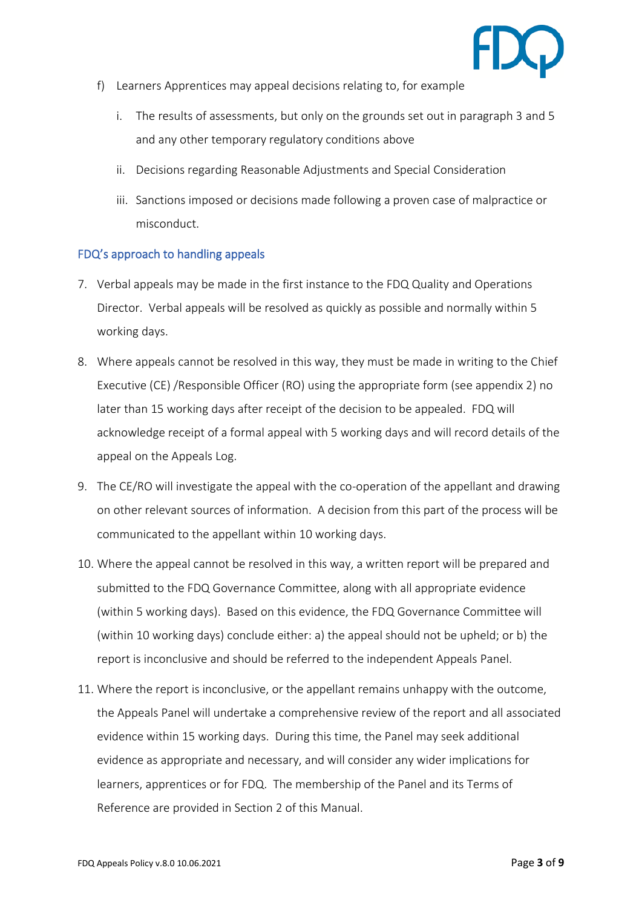

- f) Learners Apprentices may appeal decisions relating to, for example
	- i. The results of assessments, but only on the grounds set out in paragraph 3 and 5 and any other temporary regulatory conditions above
	- ii. Decisions regarding Reasonable Adjustments and Special Consideration
	- iii. Sanctions imposed or decisions made following a proven case of malpractice or misconduct.

# FDQ's approach to handling appeals

- 7. Verbal appeals may be made in the first instance to the FDQ Quality and Operations Director. Verbal appeals will be resolved as quickly as possible and normally within 5 working days.
- 8. Where appeals cannot be resolved in this way, they must be made in writing to the Chief Executive (CE) /Responsible Officer (RO) using the appropriate form (see appendix 2) no later than 15 working days after receipt of the decision to be appealed. FDQ will acknowledge receipt of a formal appeal with 5 working days and will record details of the appeal on the Appeals Log.
- 9. The CE/RO will investigate the appeal with the co-operation of the appellant and drawing on other relevant sources of information. A decision from this part of the process will be communicated to the appellant within 10 working days.
- 10. Where the appeal cannot be resolved in this way, a written report will be prepared and submitted to the FDQ Governance Committee, along with all appropriate evidence (within 5 working days). Based on this evidence, the FDQ Governance Committee will (within 10 working days) conclude either: a) the appeal should not be upheld; or b) the report is inconclusive and should be referred to the independent Appeals Panel.
- 11. Where the report is inconclusive, or the appellant remains unhappy with the outcome, the Appeals Panel will undertake a comprehensive review of the report and all associated evidence within 15 working days. During this time, the Panel may seek additional evidence as appropriate and necessary, and will consider any wider implications for learners, apprentices or for FDQ. The membership of the Panel and its Terms of Reference are provided in Section 2 of this Manual.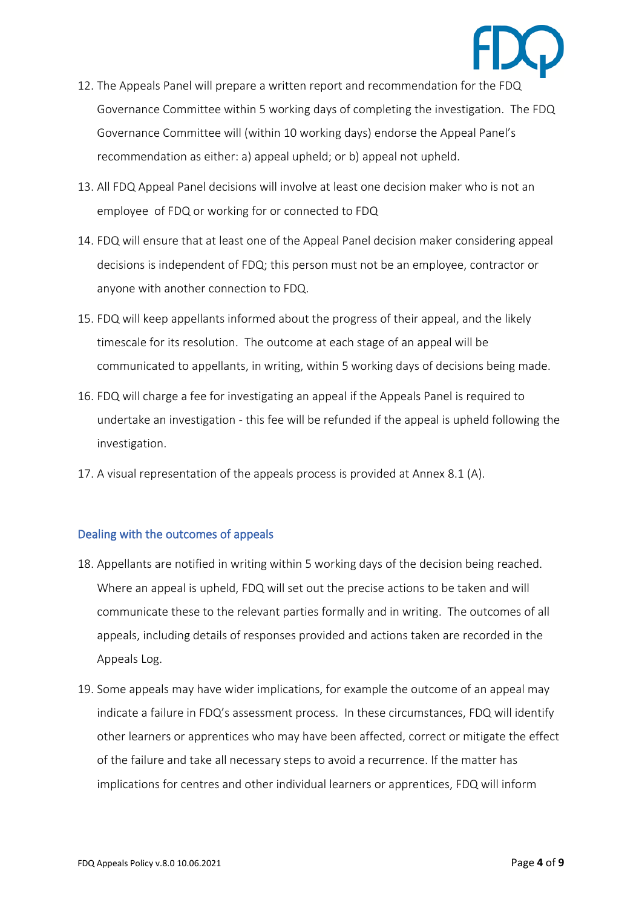- 12. The Appeals Panel will prepare a written report and recommendation for the FDQ Governance Committee within 5 working days of completing the investigation. The FDQ Governance Committee will (within 10 working days) endorse the Appeal Panel's recommendation as either: a) appeal upheld; or b) appeal not upheld.
- 13. All FDQ Appeal Panel decisions will involve at least one decision maker who is not an employee of FDQ or working for or connected to FDQ
- 14. FDQ will ensure that at least one of the Appeal Panel decision maker considering appeal decisions is independent of FDQ; this person must not be an employee, contractor or anyone with another connection to FDQ.
- 15. FDQ will keep appellants informed about the progress of their appeal, and the likely timescale for its resolution. The outcome at each stage of an appeal will be communicated to appellants, in writing, within 5 working days of decisions being made.
- 16. FDQ will charge a fee for investigating an appeal if the Appeals Panel is required to undertake an investigation - this fee will be refunded if the appeal is upheld following the investigation.
- 17. A visual representation of the appeals process is provided at Annex 8.1 (A).

# Dealing with the outcomes of appeals

- 18. Appellants are notified in writing within 5 working days of the decision being reached. Where an appeal is upheld, FDQ will set out the precise actions to be taken and will communicate these to the relevant parties formally and in writing. The outcomes of all appeals, including details of responses provided and actions taken are recorded in the Appeals Log.
- 19. Some appeals may have wider implications, for example the outcome of an appeal may indicate a failure in FDQ's assessment process. In these circumstances, FDQ will identify other learners or apprentices who may have been affected, correct or mitigate the effect of the failure and take all necessary steps to avoid a recurrence. If the matter has implications for centres and other individual learners or apprentices, FDQ will inform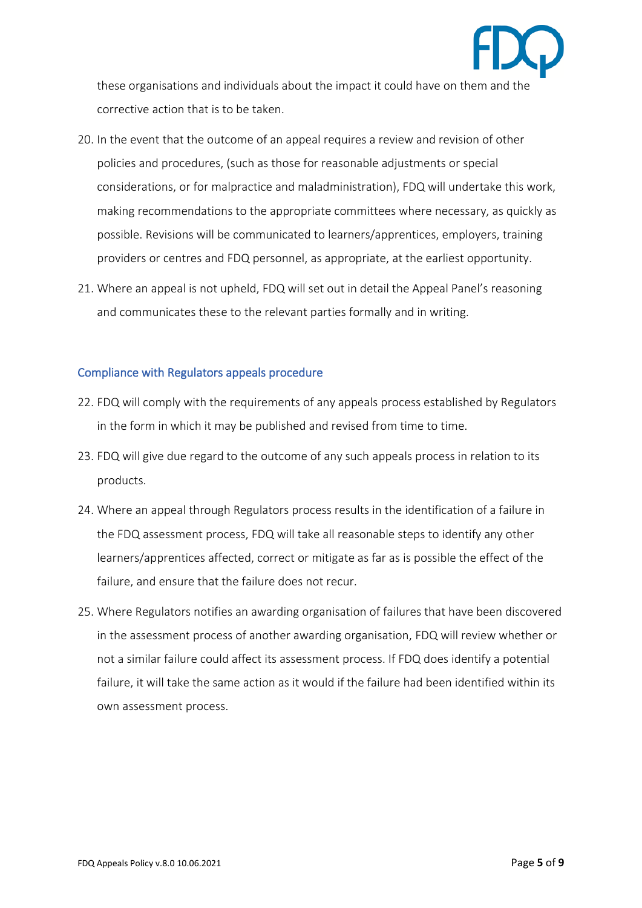

these organisations and individuals about the impact it could have on them and the corrective action that is to be taken.

- 20. In the event that the outcome of an appeal requires a review and revision of other policies and procedures, (such as those for reasonable adjustments or special considerations, or for malpractice and maladministration), FDQ will undertake this work, making recommendations to the appropriate committees where necessary, as quickly as possible. Revisions will be communicated to learners/apprentices, employers, training providers or centres and FDQ personnel, as appropriate, at the earliest opportunity.
- 21. Where an appeal is not upheld, FDQ will set out in detail the Appeal Panel's reasoning and communicates these to the relevant parties formally and in writing.

# Compliance with Regulators appeals procedure

- 22. FDQ will comply with the requirements of any appeals process established by Regulators in the form in which it may be published and revised from time to time.
- 23. FDQ will give due regard to the outcome of any such appeals process in relation to its products.
- 24. Where an appeal through Regulators process results in the identification of a failure in the FDQ assessment process, FDQ will take all reasonable steps to identify any other learners/apprentices affected, correct or mitigate as far as is possible the effect of the failure, and ensure that the failure does not recur.
- 25. Where Regulators notifies an awarding organisation of failures that have been discovered in the assessment process of another awarding organisation, FDQ will review whether or not a similar failure could affect its assessment process. If FDQ does identify a potential failure, it will take the same action as it would if the failure had been identified within its own assessment process.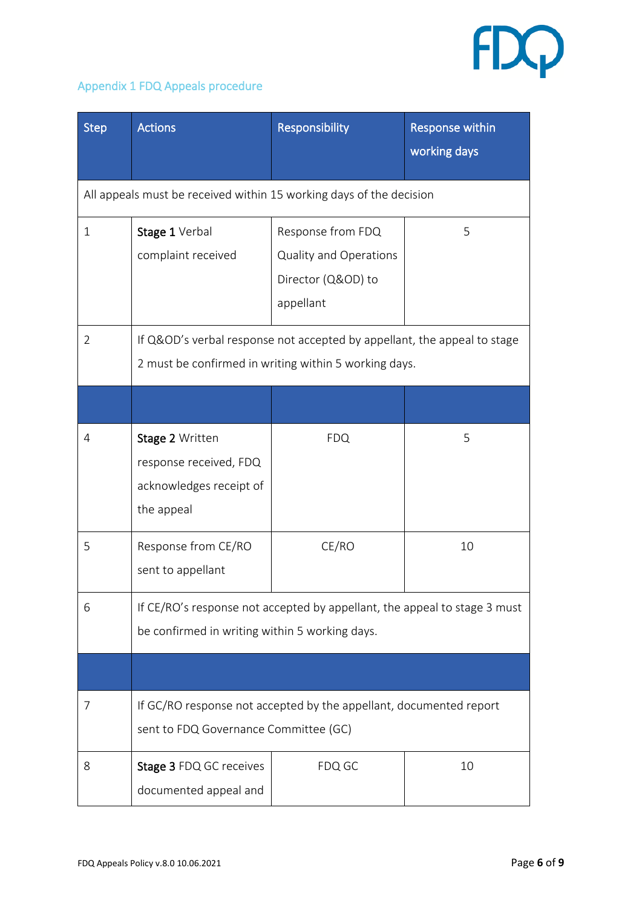

# Appendix 1 FDQ Appeals procedure

| <b>Step</b>                                                         | <b>Actions</b>                                                                                                                    | Responsibility                                                                 | <b>Response within</b><br>working days |  |  |  |
|---------------------------------------------------------------------|-----------------------------------------------------------------------------------------------------------------------------------|--------------------------------------------------------------------------------|----------------------------------------|--|--|--|
| All appeals must be received within 15 working days of the decision |                                                                                                                                   |                                                                                |                                        |  |  |  |
| $\mathbf{1}$                                                        | Stage 1 Verbal<br>complaint received                                                                                              | Response from FDQ<br>Quality and Operations<br>Director (Q&OD) to<br>appellant | 5                                      |  |  |  |
| 2                                                                   | If Q&OD's verbal response not accepted by appellant, the appeal to stage<br>2 must be confirmed in writing within 5 working days. |                                                                                |                                        |  |  |  |
|                                                                     |                                                                                                                                   |                                                                                |                                        |  |  |  |
| 4                                                                   | Stage 2 Written<br>response received, FDQ<br>acknowledges receipt of<br>the appeal                                                | <b>FDQ</b>                                                                     | 5                                      |  |  |  |
| 5                                                                   | Response from CE/RO<br>sent to appellant                                                                                          | CE/RO                                                                          | 10                                     |  |  |  |
| 6                                                                   | If CE/RO's response not accepted by appellant, the appeal to stage 3 must<br>be confirmed in writing within 5 working days.       |                                                                                |                                        |  |  |  |
|                                                                     |                                                                                                                                   |                                                                                |                                        |  |  |  |
| 7                                                                   | If GC/RO response not accepted by the appellant, documented report<br>sent to FDQ Governance Committee (GC)                       |                                                                                |                                        |  |  |  |
| 8                                                                   | Stage 3 FDQ GC receives<br>documented appeal and                                                                                  | FDQ GC                                                                         | 10                                     |  |  |  |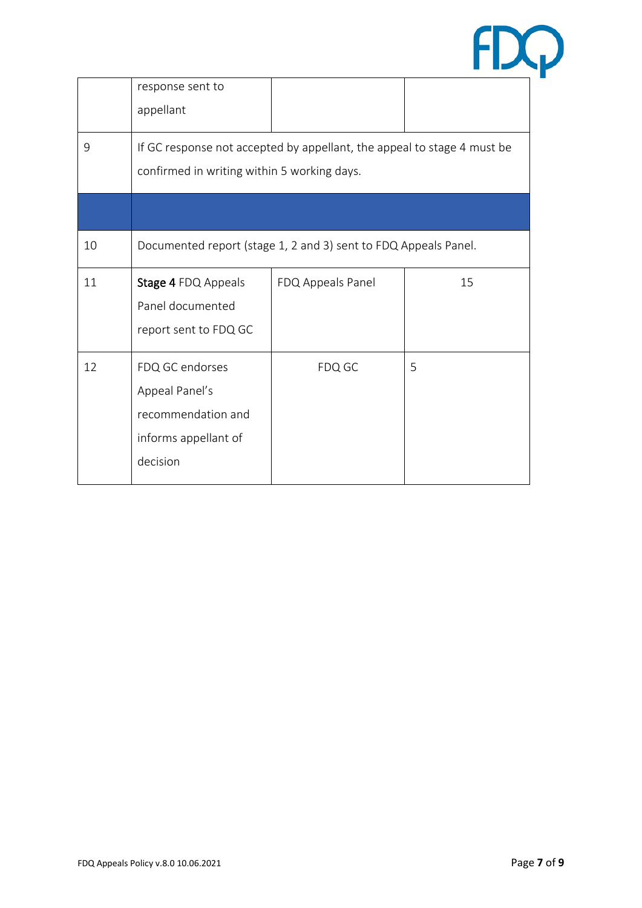

|    | response sent to<br>appellant                                                               |                   |    |  |
|----|---------------------------------------------------------------------------------------------|-------------------|----|--|
|    |                                                                                             |                   |    |  |
| 9  | If GC response not accepted by appellant, the appeal to stage 4 must be                     |                   |    |  |
|    | confirmed in writing within 5 working days.                                                 |                   |    |  |
|    |                                                                                             |                   |    |  |
| 10 | Documented report (stage 1, 2 and 3) sent to FDQ Appeals Panel.                             |                   |    |  |
| 11 | Stage 4 FDQ Appeals<br>Panel documented<br>report sent to FDQ GC                            | FDQ Appeals Panel | 15 |  |
| 12 | FDQ GC endorses<br>Appeal Panel's<br>recommendation and<br>informs appellant of<br>decision | FDQ GC            | 5  |  |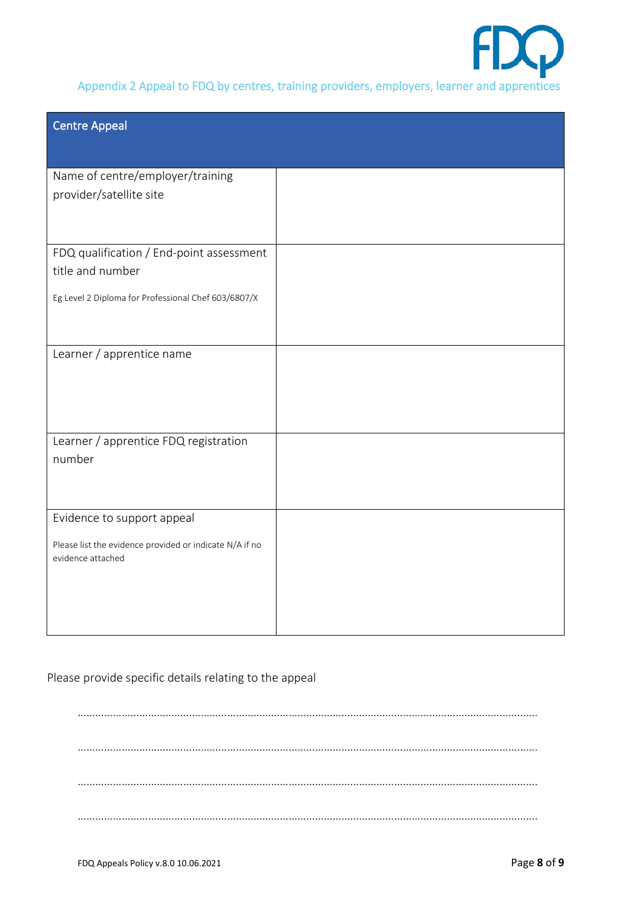

Appendix 2 Appeal to FDQ by centres, training providers, employers, learner and apprentices

| <b>Centre Appeal</b>                                                                                                |  |
|---------------------------------------------------------------------------------------------------------------------|--|
| Name of centre/employer/training<br>provider/satellite site                                                         |  |
| FDQ qualification / End-point assessment<br>title and number<br>Eg Level 2 Diploma for Professional Chef 603/6807/X |  |
| Learner / apprentice name                                                                                           |  |
| Learner / apprentice FDQ registration<br>number                                                                     |  |
| Evidence to support appeal<br>Please list the evidence provided or indicate N/A if no<br>evidence attached          |  |

Please provide specific details relating to the appeal

…………………………………………………………………………………………………………………………………………. …………………………………………………………………………………………………………………………………………. …………………………………………………………………………………………………………………………………………. ………………………………………………………………………………………………………………………………………….